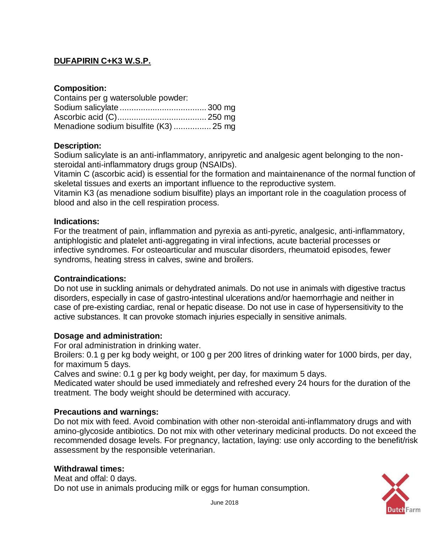# **DUFAPIRIN C+K3 W.S.P.**

## **Composition:**

| Contains per g watersoluble powder:    |  |
|----------------------------------------|--|
|                                        |  |
|                                        |  |
| Menadione sodium bisulfite (K3)  25 mg |  |

### **Description:**

Sodium salicylate is an anti-inflammatory, anripyretic and analgesic agent belonging to the nonsteroidal anti-inflammatory drugs group (NSAIDs).

Vitamin C (ascorbic acid) is essential for the formation and maintainenance of the normal function of skeletal tissues and exerts an important influence to the reproductive system.

Vitamin K3 (as menadione sodium bisulfite) plays an important role in the coagulation process of blood and also in the cell respiration process.

#### **Indications:**

For the treatment of pain, inflammation and pyrexia as anti-pyretic, analgesic, anti-inflammatory, antiphlogistic and platelet anti-aggregating in viral infections, acute bacterial processes or infective syndromes. For osteoarticular and muscular disorders, rheumatoid episodes, fewer syndroms, heating stress in calves, swine and broilers.

#### **Contraindications:**

Do not use in suckling animals or dehydrated animals. Do not use in animals with digestive tractus disorders, especially in case of gastro-intestinal ulcerations and/or haemorrhagie and neither in case of pre-existing cardiac, renal or hepatic disease. Do not use in case of hypersensitivity to the active substances. It can provoke stomach injuries especially in sensitive animals.

#### **Dosage and administration:**

For oral administration in drinking water.

Broilers: 0.1 g per kg body weight, or 100 g per 200 litres of drinking water for 1000 birds, per day, for maximum 5 days.

Calves and swine: 0.1 g per kg body weight, per day, for maximum 5 days.

Medicated water should be used immediately and refreshed every 24 hours for the duration of the treatment. The body weight should be determined with accuracy.

#### **Precautions and warnings:**

Do not mix with feed. Avoid combination with other non-steroidal anti-inflammatory drugs and with amino-glycoside antibiotics. Do not mix with other veterinary medicinal products. Do not exceed the recommended dosage levels. For pregnancy, lactation, laying: use only according to the benefit/risk assessment by the responsible veterinarian.

## **Withdrawal times:**

Meat and offal: 0 days. Do not use in animals producing milk or eggs for human consumption.